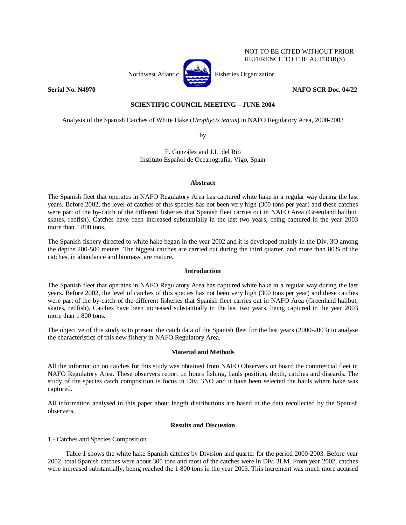

NOT TO BE CITED WITHOUT PRIOR REFERENCE TO THE AUTHOR(S)

# **Serial No. N4970 NAFO SCR Doc. 04/22 NAFO SCR Doc. 04/22**

# **SCIENTIFIC COUNCIL MEETING – JUNE 2004**

Analysis of the Spanish Catches of White Hake (*Urophycis tenuis*) in NAFO Regulatory Area, 2000-2003

by

F. González and J.L. del Río Instituto Español de Oceanografía, Vigo, Spain

# **Abstract**

The Spanish fleet that operates in NAFO Regulatory Area has captured white hake in a regular way during the last years. Before 2002, the level of catches of this species has not been very high (300 tons per year) and these catches were part of the by-catch of the different fisheries that Spanish fleet carries out in NAFO Area (Greenland halibut, skates, redfish). Catches have been increased substantially in the last two years, being captured in the year 2003 more than 1 800 tons.

The Spanish fishery directed to white hake began in the year 2002 and it is developed mainly in the Div. 3O among the depths 200-500 meters. The biggest catches are carried out during the third quarter, and more than 80% of the catches, in abundance and biomass, are mature.

# **Introduction**

The Spanish fleet that operates in NAFO Regulatory Area has captured white hake in a regular way during the last years. Before 2002, the level of catches of this species has not been very high (300 tons per year) and these catches were part of the by-catch of the different fisheries that Spanish fleet carries out in NAFO Area (Greenland halibut, skates, redfish). Catches have been increased substantially in the last two years, being captured in the year 2003 more than 1 800 tons.

The objective of this study is to present the catch data of the Spanish fleet for the last years (2000-2003) to analyse the characteristics of this new fishery in NAFO Regulatory Area.

# **Material and Methods**

All the information on catches for this study was obtained from NAFO Observers on board the commercial fleet in NAFO Regulatory Area. These observers report on hours fishing, hauls position, depth, catches and discards. The study of the species catch composition is focus in Div. 3NO and it have been selected the hauls where hake was captured.

All information analysed in this paper about length distributions are based in the data recollected by the Spanish observers.

# **Results and Discussion**

1.- Catches and Species Composition

Table 1 shows the white hake Spanish catches by Division and quarter for the period 2000-2003. Before year 2002, total Spanish catches were about 300 tons and most of the catches were in Div. 3LM. From year 2002, catches were increased substantially, being reached the 1 800 tons in the year 2003. This increment was much more accused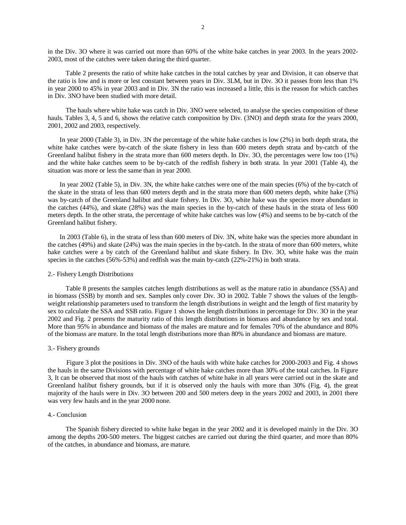in the Div. 3O where it was carried out more than 60% of the white hake catches in year 2003. In the years 2002- 2003, most of the catches were taken during the third quarter.

Table 2 presents the ratio of white hake catches in the total catches by year and Division, it can observe that the ratio is low and is more or lest constant between years in Div. 3LM, but in Div. 3O it passes from less than 1% in year 2000 to 45% in year 2003 and in Div. 3N the ratio was increased a little, this is the reason for which catches in Div. 3NO have been studied with more detail.

The hauls where white hake was catch in Div. 3NO were selected, to analyse the species composition of these hauls. Tables 3, 4, 5 and 6, shows the relative catch composition by Div. (3NO) and depth strata for the years 2000, 2001, 2002 and 2003, respectively.

In year 2000 (Table 3), in Div. 3N the percentage of the white hake catches is low (2%) in both depth strata, the white hake catches were by-catch of the skate fishery in less than 600 meters depth strata and by-catch of the Greenland halibut fishery in the strata more than 600 meters depth. In Div. 3O, the percentages were low too (1%) and the white hake catches seem to be by-catch of the redfish fishery in both strata. In year 2001 (Table 4), the situation was more or less the same than in year 2000.

In year 2002 (Table 5), in Div. 3N, the white hake catches were one of the main species (6%) of the by-catch of the skate in the strata of less than 600 meters depth and in the strata more than 600 meters depth, white hake (3%) was by-catch of the Greenland halibut and skate fishery. In Div. 3O, white hake was the species more abundant in the catches (44%), and skate (28%) was the main species in the by-catch of these hauls in the strata of less 600 meters depth. In the other strata, the percentage of white hake catches was low (4%) and seems to be by-catch of the Greenland halibut fishery.

In 2003 (Table 6), in the strata of less than 600 meters of Div. 3N, white hake was the species more abundant in the catches (49%) and skate (24%) was the main species in the by-catch. In the strata of more than 600 meters, white hake catches were a by catch of the Greenland halibut and skate fishery. In Div. 3O, white hake was the main species in the catches (56%-53%) and redfish was the main by-catch (22%-21%) in both strata.

#### 2.- Fishery Length Distributions

Table 8 presents the samples catches length distributions as well as the mature ratio in abundance (SSA) and in biomass (SSB) by month and sex. Samples only cover Div. 3O in 2002. Table 7 shows the values of the lengthweight relationship parameters used to transform the length distributions in weight and the length of first maturity by sex to calculate the SSA and SSB ratio. Figure 1 shows the length distributions in percentage for Div. 3O in the year 2002 and Fig. 2 presents the maturity ratio of this length distributions in biomass and abundance by sex and total. More than 95% in abundance and biomass of the males are mature and for females 70% of the abundance and 80% of the biomass are mature. In the total length distributions more than 80% in abundance and biomass are mature.

#### 3.- Fishery grounds

Figure 3 plot the positions in Div. 3NO of the hauls with white hake catches for 2000-2003 and Fig. 4 shows the hauls in the same Divisions with percentage of white hake catches more than 30% of the total catches. In Figure 3, It can be observed that most of the hauls with catches of white hake in all years were carried out in the skate and Greenland halibut fishery grounds, but if it is observed only the hauls with more than 30% (Fig. 4), the great majority of the hauls were in Div. 3O between 200 and 500 meters deep in the years 2002 and 2003, in 2001 there was very few hauls and in the year 2000 none.

### 4.- Conclusion

The Spanish fishery directed to white hake began in the year 2002 and it is developed mainly in the Div. 3O among the depths 200-500 meters. The biggest catches are carried out during the third quarter, and more than 80% of the catches, in abundance and biomass, are mature.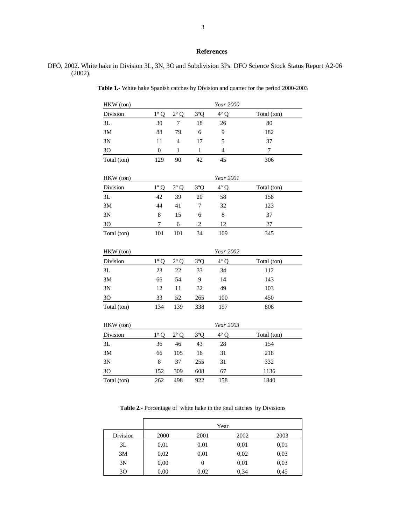### **References**

# DFO, 2002. White hake in Division 3L, 3N, 3O and Subdivision 3Ps. DFO Science Stock Status Report A2-06 (2002).

HKW (ton) *Year 2000* 

| Division       | $1^{\circ}$ Q  | $2^{\circ}$ Q | 3°Q            | $4^{\circ}$ Q  | Total (ton)    |
|----------------|----------------|---------------|----------------|----------------|----------------|
| 3L             | 30             | 7             | 18             | 26             | 80             |
| 3M             | 88             | 79            | 6              | 9              | 182            |
| 3N             | 11             | 4             | 17             | 5              | 37             |
| 3 <sub>O</sub> | $\overline{0}$ | $\mathbf{1}$  | $\mathbf{1}$   | $\overline{4}$ | $\overline{7}$ |
| Total (ton)    | 129            | 90            | 42             | 45             | 306            |
|                |                |               |                |                |                |
| HKW (ton)      |                |               |                | Year 2001      |                |
| Division       | $1^{\circ}$ Q  | $2^{\circ}$ Q | 3°Q            | $4^{\circ}$ Q  | Total (ton)    |
| 3L             | 42             | 39            | 20             | 58             | 158            |
| 3M             | 44             | 41            | 7              | 32             | 123            |
| 3N             | 8              | 15            | 6              | 8              | 37             |
| 3O             | 7              | 6             | $\overline{c}$ | 12             | 27             |
| Total (ton)    | 101            | 101           | 34             | 109            | 345            |
|                |                |               |                |                |                |
| HKW (ton)      |                |               |                | Year 2002      |                |
| Division       | $1^{\circ}$ Q  | $2^{\circ}$ Q | 3°Q            | $4^\circ$ Q    | Total (ton)    |
| 3L             | 23             | $22\,$        | 33             | 34             | 112            |
| 3M             | 66             | 54            | 9              | 14             | 143            |
| 3N             | 12             | 11            | 32             | 49             | 103            |
| 30             | 33             | 52            | 265            | 100            | 450            |
| Total (ton)    | 134            | 139           | 338            | 197            | 808            |
|                |                |               |                |                |                |
| HKW (ton)      |                |               |                | Year 2003      |                |
| Division       | $1^{\circ}$ Q  | $2^{\circ}$ Q | 3°Q            | $4^{\circ}$ Q  | Total (ton)    |
| 3L             | 36             | 46            | 43             | 28             | 154            |
| 3M             | 66             | 105           | 16             | 31             | 218            |
| 3N             | 8              | 37            | 255            | 31             | 332            |

**Table 1.-** White hake Spanish catches by Division and quarter for the period 2000-2003

**Table 2.-** Porcentage of white hake in the total catches by Divisions

3O 152 309 608 67 1136 Total (ton)  $262$  498 922 158 1840

|          | Year |        |      |      |  |  |  |
|----------|------|--------|------|------|--|--|--|
| Division | 2000 | 2001   | 2002 | 2003 |  |  |  |
| 3L       | 0,01 | 0,01   | 0,01 | 0,01 |  |  |  |
| 3M       | 0,02 | 0,01   | 0,02 | 0,03 |  |  |  |
| 3N       | 0,00 | $_{0}$ | 0,01 | 0,03 |  |  |  |
| 30       | 0.00 | 0.02   | 0,34 | 0,45 |  |  |  |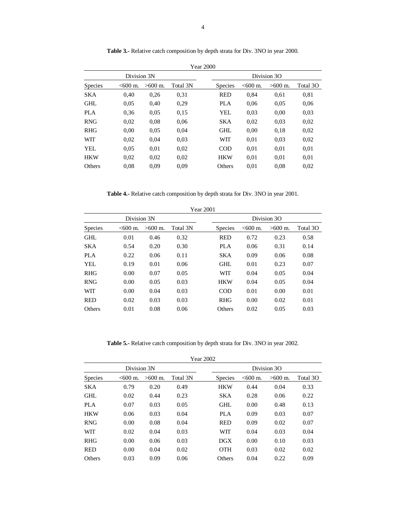|                |             |           |          | <b>Year 2000</b> |                |                     |             |          |
|----------------|-------------|-----------|----------|------------------|----------------|---------------------|-------------|----------|
|                | Division 3N |           |          |                  |                |                     | Division 3O |          |
| <b>Species</b> | $< 600$ m.  | $>600$ m. | Total 3N |                  | <b>Species</b> | $< 600 \text{ m}$ . | $>600$ m.   | Total 3O |
| <b>SKA</b>     | 0,40        | 0,26      | 0.31     |                  | <b>RED</b>     | 0.84                | 0.61        | 0.81     |
| <b>GHL</b>     | 0.05        | 0.40      | 0,29     |                  | PLA            | 0.06                | 0.05        | 0.06     |
| <b>PLA</b>     | 0.36        | 0.05      | 0.15     |                  | YEL            | 0.03                | 0.00        | 0.03     |
| <b>RNG</b>     | 0,02        | 0.08      | 0.06     |                  | <b>SKA</b>     | 0.02                | 0.03        | 0.02     |
| <b>RHG</b>     | 0,00        | 0.05      | 0.04     |                  | <b>GHL</b>     | 0.00                | 0.18        | 0,02     |
| WIT            | 0,02        | 0.04      | 0.03     |                  | WIT            | 0,01                | 0.03        | 0,02     |
| YEL            | 0.05        | 0.01      | 0.02     |                  | <b>COD</b>     | 0,01                | 0.01        | 0.01     |
| <b>HKW</b>     | 0,02        | 0,02      | 0.02     |                  | <b>HKW</b>     | 0,01                | 0.01        | 0.01     |
| Others         | 0.08        | 0.09      | 0.09     |                  | Others         | 0.01                | 0.08        | 0.02     |

Table 3.- Relative catch composition by depth strata for Div. 3NO in year 2000.

**Table 4.-** Relative catch composition by depth strata for Div. 3NO in year 2001.

|                |             |           |          | <b>Year 2001</b> |                |            |             |          |
|----------------|-------------|-----------|----------|------------------|----------------|------------|-------------|----------|
|                | Division 3N |           |          |                  |                |            | Division 3O |          |
| <b>Species</b> | $< 600$ m.  | $>600$ m. | Total 3N |                  | <b>Species</b> | $< 600$ m. | $>600$ m.   | Total 3O |
| <b>GHL</b>     | 0.01        | 0.46      | 0.32     |                  | <b>RED</b>     | 0.72       | 0.23        | 0.58     |
| <b>SKA</b>     | 0.54        | 0.20      | 0.30     |                  | <b>PLA</b>     | 0.06       | 0.31        | 0.14     |
| PLA            | 0.22        | 0.06      | 0.11     |                  | <b>SKA</b>     | 0.09       | 0.06        | 0.08     |
| YEL.           | 0.19        | 0.01      | 0.06     |                  | <b>GHL</b>     | 0.01       | 0.23        | 0.07     |
| <b>RHG</b>     | 0.00        | 0.07      | 0.05     |                  | WIT            | 0.04       | 0.05        | 0.04     |
| <b>RNG</b>     | 0.00        | 0.05      | 0.03     |                  | <b>HKW</b>     | 0.04       | 0.05        | 0.04     |
| WIT            | 0.00        | 0.04      | 0.03     |                  | <b>COD</b>     | 0.01       | 0.00        | 0.01     |
| <b>RED</b>     | 0.02        | 0.03      | 0.03     |                  | <b>RHG</b>     | 0.00       | 0.02        | 0.01     |
| Others         | 0.01        | 0.08      | 0.06     |                  | Others         | 0.02       | 0.05        | 0.03     |

**Table 5.-** Relative catch composition by depth strata for Div. 3NO in year 2002.

| Year 2002 |  |
|-----------|--|
|-----------|--|

|                | Division 3N         |           |          |                |                     | Division 3O |          |
|----------------|---------------------|-----------|----------|----------------|---------------------|-------------|----------|
| <b>Species</b> | $< 600 \text{ m}$ . | $>600$ m. | Total 3N | <b>Species</b> | $< 600 \text{ m}$ . | $>600$ m.   | Total 3O |
| <b>SKA</b>     | 0.79                | 0.20      | 0.49     | <b>HKW</b>     | 0.44                | 0.04        | 0.33     |
| GHL            | 0.02                | 0.44      | 0.23     | <b>SKA</b>     | 0.28                | 0.06        | 0.22     |
| <b>PLA</b>     | 0.07                | 0.03      | 0.05     | GHL            | 0.00                | 0.48        | 0.13     |
| <b>HKW</b>     | 0.06                | 0.03      | 0.04     | <b>PLA</b>     | 0.09                | 0.03        | 0.07     |
| <b>RNG</b>     | 0.00                | 0.08      | 0.04     | <b>RED</b>     | 0.09                | 0.02        | 0.07     |
| WIT            | 0.02                | 0.04      | 0.03     | <b>WIT</b>     | 0.04                | 0.03        | 0.04     |
| <b>RHG</b>     | 0.00                | 0.06      | 0.03     | DGX            | 0.00                | 0.10        | 0.03     |
| <b>RED</b>     | 0.00                | 0.04      | 0.02     | <b>OTH</b>     | 0.03                | 0.02        | 0.02     |
| Others         | 0.03                | 0.09      | 0.06     | Others         | 0.04                | 0.22        | 0.09     |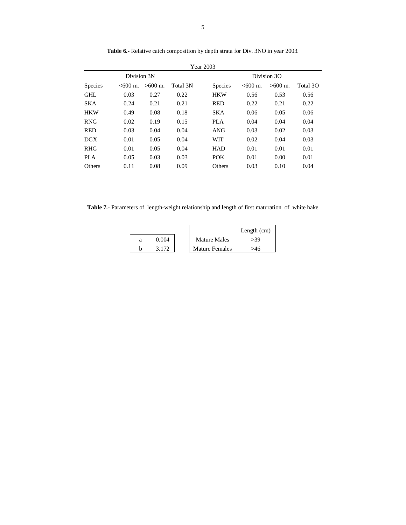|                |            |           |          | Year 2003      |                     |             |          |
|----------------|------------|-----------|----------|----------------|---------------------|-------------|----------|
| Division 3N    |            |           |          |                |                     | Division 3O |          |
| <b>Species</b> | $< 600$ m. | $>600$ m. | Total 3N | <b>Species</b> | $< 600 \text{ m}$ . | $>600$ m.   | Total 3O |
| <b>GHL</b>     | 0.03       | 0.27      | 0.22     | <b>HKW</b>     | 0.56                | 0.53        | 0.56     |
| <b>SKA</b>     | 0.24       | 0.21      | 0.21     | <b>RED</b>     | 0.22                | 0.21        | 0.22     |
| <b>HKW</b>     | 0.49       | 0.08      | 0.18     | <b>SKA</b>     | 0.06                | 0.05        | 0.06     |
| <b>RNG</b>     | 0.02       | 0.19      | 0.15     | PLA            | 0.04                | 0.04        | 0.04     |
| <b>RED</b>     | 0.03       | 0.04      | 0.04     | <b>ANG</b>     | 0.03                | 0.02        | 0.03     |
| DGX            | 0.01       | 0.05      | 0.04     | <b>WIT</b>     | 0.02                | 0.04        | 0.03     |
| <b>RHG</b>     | 0.01       | 0.05      | 0.04     | <b>HAD</b>     | 0.01                | 0.01        | 0.01     |
| PLA            | 0.05       | 0.03      | 0.03     | <b>POK</b>     | 0.01                | 0.00        | 0.01     |
| Others         | 0.11       | 0.08      | 0.09     | <b>Others</b>  | 0.03                | 0.10        | 0.04     |

Table 6.- Relative catch composition by depth strata for Div. 3NO in year 2003.

**Table 7.-** Parameters of length-weight relationship and length of first maturation of white hake

|  |       |                       | Length $(cm)$ |
|--|-------|-----------------------|---------------|
|  | 0.004 | <b>Mature Males</b>   | .39           |
|  |       | <b>Mature Females</b> |               |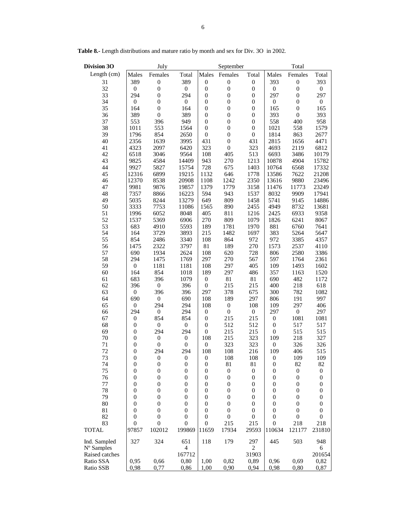| <b>Division 3O</b>          | July<br>September                    |                         |                                    |                         |                  | Total            |                         |                  |                  |
|-----------------------------|--------------------------------------|-------------------------|------------------------------------|-------------------------|------------------|------------------|-------------------------|------------------|------------------|
| Length (cm)                 | Males                                | Females                 | Total                              | Males                   | Females          | Total            | Males                   | Females          | Total            |
| 31                          | 389                                  | $\boldsymbol{0}$        | 389                                | $\boldsymbol{0}$        | $\boldsymbol{0}$ | $\boldsymbol{0}$ | 393                     | $\boldsymbol{0}$ | 393              |
| 32                          | $\boldsymbol{0}$                     | $\mathbf{0}$            | $\boldsymbol{0}$                   | $\boldsymbol{0}$        | $\boldsymbol{0}$ | $\boldsymbol{0}$ | $\boldsymbol{0}$        | $\boldsymbol{0}$ | $\boldsymbol{0}$ |
| 33                          | 294                                  | $\boldsymbol{0}$        | 294                                | $\boldsymbol{0}$        | $\boldsymbol{0}$ | $\boldsymbol{0}$ | 297                     | $\boldsymbol{0}$ | 297              |
| 34                          | $\boldsymbol{0}$                     | $\mathbf{0}$            | $\boldsymbol{0}$                   | $\boldsymbol{0}$        | $\boldsymbol{0}$ | $\boldsymbol{0}$ | $\boldsymbol{0}$        | $\boldsymbol{0}$ | $\boldsymbol{0}$ |
| 35                          | 164                                  | $\boldsymbol{0}$        | 164                                | $\boldsymbol{0}$        | $\boldsymbol{0}$ | $\boldsymbol{0}$ | 165                     | $\boldsymbol{0}$ | 165              |
| 36                          | 389                                  | $\boldsymbol{0}$        | 389                                | $\boldsymbol{0}$        | $\boldsymbol{0}$ | $\boldsymbol{0}$ | 393                     | $\boldsymbol{0}$ | 393              |
| 37                          | 553                                  | 396                     | 949                                | $\boldsymbol{0}$        | $\boldsymbol{0}$ | $\boldsymbol{0}$ | 558                     | 400              | 958              |
| 38                          | 1011                                 | 553                     | 1564                               | $\boldsymbol{0}$        | $\boldsymbol{0}$ | $\boldsymbol{0}$ | 1021                    | 558              | 1579             |
| 39                          | 1796                                 | 854                     | 2650                               | $\boldsymbol{0}$        | $\boldsymbol{0}$ | $\boldsymbol{0}$ | 1814                    | 863              | 2677             |
| 40                          | 2356                                 | 1639                    | 3995                               | 431                     | $\boldsymbol{0}$ | 431              | 2815                    | 1656             | 4471             |
| 41                          | 4323                                 | 2097                    | 6420                               | 323                     | $\boldsymbol{0}$ | 323              | 4693                    | 2119             | 6812             |
| 42                          | 6518                                 | 3046                    | 9564                               | 108                     | 405              | 513              | 6693                    | 3486             | 10179            |
| 43                          | 9825                                 | 4584                    | 14409                              | 943                     | 270              | 1213             | 10878                   | 4904             | 15782            |
| 44<br>45                    | 9927<br>12316                        | 5827<br>6899            | 15754<br>19215                     | 728<br>1132             | 675<br>646       | 1403<br>1778     | 10764<br>13586          | 6568<br>7622     | 17332            |
|                             | 12370                                | 8538                    | 20908                              | 1108                    | 1242             | 2350             | 13616                   | 9880             | 21208<br>23496   |
| 46<br>47                    | 9981                                 | 9876                    | 19857                              | 1379                    | 1779             | 3158             | 11476                   | 11773            | 23249            |
| 48                          | 7357                                 | 8866                    | 16223                              | 594                     | 943              | 1537             | 8032                    | 9909             | 17941            |
| 49                          | 5035                                 | 8244                    | 13279                              | 649                     | 809              | 1458             | 5741                    | 9145             | 14886            |
| 50                          | 3333                                 | 7753                    | 11086                              | 1565                    | 890              | 2455             | 4949                    | 8732             | 13681            |
| 51                          | 1996                                 | 6052                    | 8048                               | 405                     | 811              | 1216             | 2425                    | 6933             | 9358             |
| 52                          | 1537                                 | 5369                    | 6906                               | 270                     | 809              | 1079             | 1826                    | 6241             | 8067             |
| 53                          | 683                                  | 4910                    | 5593                               | 189                     | 1781             | 1970             | 881                     | 6760             | 7641             |
| 54                          | 164                                  | 3729                    | 3893                               | 215                     | 1482             | 1697             | 383                     | 5264             | 5647             |
| 55                          | 854                                  | 2486                    | 3340                               | 108                     | 864              | 972              | 972                     | 3385             | 4357             |
| 56                          | 1475                                 | 2322                    | 3797                               | $81\,$                  | 189              | 270              | 1573                    | 2537             | 4110             |
| 57                          | 690                                  | 1934                    | 2624                               | 108                     | 620              | 728              | 806                     | 2580             | 3386             |
| 58                          | 294                                  | 1475                    | 1769                               | 297                     | 270              | 567              | 597                     | 1764             | 2361             |
| 59                          | $\boldsymbol{0}$                     | 1181                    | 1181                               | 108                     | 297              | 405              | 109                     | 1493             | 1602             |
| 60                          | 164                                  | 854                     | 1018                               | 189                     | 297              | 486              | 357                     | 1163             | 1520             |
| 61                          | 683                                  | 396                     | 1079                               | $\boldsymbol{0}$        | 81               | 81               | 690                     | 482              | 1172             |
| 62                          | 396                                  | $\boldsymbol{0}$        | 396                                | $\mathbf{0}$            | 215              | 215              | 400                     | 218              | 618              |
| 63                          | $\boldsymbol{0}$                     | 396                     | 396                                | 297                     | 378              | 675              | 300                     | 782              | 1082             |
| 64                          | 690                                  | $\boldsymbol{0}$        | 690                                | 108                     | 189              | 297              | 806                     | 191              | 997              |
| 65                          | $\boldsymbol{0}$                     | 294                     | 294                                | 108                     | $\boldsymbol{0}$ | 108              | 109                     | 297              | 406              |
| 66                          | 294                                  | $\boldsymbol{0}$        | 294                                | $\boldsymbol{0}$        | $\boldsymbol{0}$ | $\boldsymbol{0}$ | 297                     | $\boldsymbol{0}$ | 297              |
| 67                          | $\boldsymbol{0}$                     | 854                     | 854                                | $\boldsymbol{0}$        | 215              | 215              | $\boldsymbol{0}$        | 1081             | 1081             |
| 68                          | $\boldsymbol{0}$                     | $\boldsymbol{0}$        | $\boldsymbol{0}$                   | $\mathbf{0}$            | 512              | 512              | $\boldsymbol{0}$        | 517              | 517              |
| 69                          | $\boldsymbol{0}$                     | 294                     | 294                                | $\overline{0}$          | 215              | 215              | $\boldsymbol{0}$        | 515              | 515              |
| $70\,$                      | $\boldsymbol{0}$                     | $\boldsymbol{0}$        | $\boldsymbol{0}$                   | 108                     | 215              | 323              | 109                     | 218              | 327<br>326       |
| 71<br>72                    | $\boldsymbol{0}$<br>$\boldsymbol{0}$ | $\boldsymbol{0}$<br>294 | $\boldsymbol{0}$<br>294            | $\boldsymbol{0}$<br>108 | 323<br>108       | 323<br>216       | $\boldsymbol{0}$<br>109 | 326<br>406       | 515              |
| 73                          | $\overline{0}$                       | $\mathbf{0}$            | $\boldsymbol{0}$                   | $\boldsymbol{0}$        | 108              | 108              | $\boldsymbol{0}$        | 109              | 109              |
| 74                          | $\mathbf{0}$                         | $\boldsymbol{0}$        | $\boldsymbol{0}$                   | $\mathbf{0}$            | 81               | 81               | $\boldsymbol{0}$        | 82               | 82               |
| 75                          | $\mathbf{0}$                         | $\boldsymbol{0}$        | $\boldsymbol{0}$                   | $\mathbf{0}$            | $\boldsymbol{0}$ | $\boldsymbol{0}$ | $\boldsymbol{0}$        | $\boldsymbol{0}$ | $\boldsymbol{0}$ |
| 76                          | $\mathbf{0}$                         | $\mathbf{0}$            | $\boldsymbol{0}$                   | $\mathbf{0}$            | $\boldsymbol{0}$ | $\boldsymbol{0}$ | $\boldsymbol{0}$        | $\mathbf{0}$     | $\boldsymbol{0}$ |
| 77                          | 0                                    | $\overline{0}$          | $\mathbf{0}$                       | $\mathbf{0}$            | $\boldsymbol{0}$ | $\boldsymbol{0}$ | $\boldsymbol{0}$        | 0                | $\boldsymbol{0}$ |
| 78                          | $\mathbf{0}$                         | $\mathbf{0}$            | $\boldsymbol{0}$                   | $\mathbf{0}$            | $\boldsymbol{0}$ | $\mathbf{0}$     | $\boldsymbol{0}$        | 0                | $\boldsymbol{0}$ |
| 79                          | $\boldsymbol{0}$                     | $\mathbf{0}$            | $\boldsymbol{0}$                   | $\mathbf{0}$            | $\boldsymbol{0}$ | $\boldsymbol{0}$ | $\boldsymbol{0}$        | 0                | $\boldsymbol{0}$ |
| 80                          | $\overline{0}$                       | $\mathbf{0}$            | $\boldsymbol{0}$                   | $\mathbf{0}$            | $\boldsymbol{0}$ | $\boldsymbol{0}$ | $\boldsymbol{0}$        | 0                | $\theta$         |
| 81                          | $\overline{0}$                       | $\mathbf{0}$            | $\boldsymbol{0}$                   | $\mathbf{0}$            | $\boldsymbol{0}$ | 0                | $\mathbf{0}$            | $\mathbf{0}$     | $\mathbf{0}$     |
| 82                          | $\boldsymbol{0}$                     | $\mathbf{0}$            | $\boldsymbol{0}$                   | 0                       | $\boldsymbol{0}$ | $\boldsymbol{0}$ | $\boldsymbol{0}$        | $\boldsymbol{0}$ | $\boldsymbol{0}$ |
| 83                          | $\overline{0}$                       | $\boldsymbol{0}$        | 0                                  | $\mathbf{0}$            | 215              | 215              | $\overline{0}$          | 218              | 218              |
| <b>TOTAL</b>                | 97857                                | 102012                  | 199869                             | 11659                   | 17934            | 29593            | 110634                  | 121177           | 231810           |
| Ind. Sampled                | 327                                  | 324                     | 651                                | 118                     | 179              | 297              | 445                     | 503              | 948              |
| N° Samples                  |                                      |                         | $\overline{\mathcal{L}}$<br>167712 |                         |                  | 2                |                         |                  | 6                |
| Raised catches<br>Ratio SSA |                                      | 0,66                    | 0,80                               |                         | 0,82             | 31903<br>0,89    |                         |                  | 201654<br>0,82   |
| Ratio SSB                   | 0,95<br>0,98                         |                         | 0,86                               | 1,00<br>1,00            | 0,90             | 0,94             | 0,96<br>0,98            | 0,69<br>0,80     | 0,87             |
|                             |                                      | 0,77                    |                                    |                         |                  |                  |                         |                  |                  |

**Table 8.-** Length distributions and mature ratio by month and sex for Div. 3O in 2002.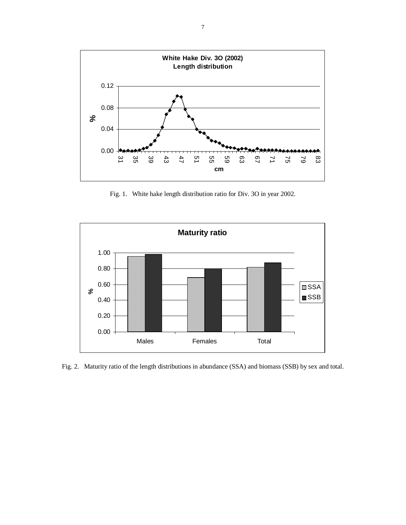

Fig. 1.White hake length distribution ratio for Div. 3O in year 2002.



Fig. 2.Maturity ratio of the length distributions in abundance (SSA) and biomass (SSB) by sex and total.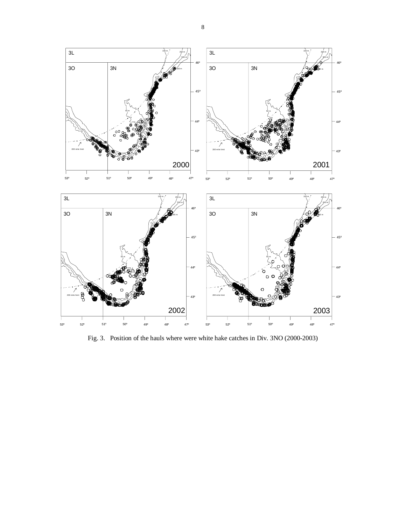

Fig. 3. Position of the hauls where were white hake catches in Div. 3NO (2000-2003)